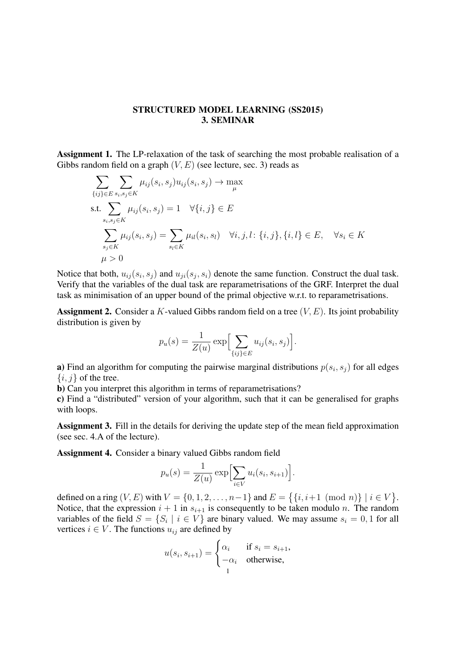## STRUCTURED MODEL LEARNING (SS2015) 3. SEMINAR

Assignment 1. The LP-relaxation of the task of searching the most probable realisation of a Gibbs random field on a graph  $(V, E)$  (see lecture, sec. 3) reads as

$$
\sum_{\{ij\} \in E} \sum_{s_i, s_j \in K} \mu_{ij}(s_i, s_j) u_{ij}(s_i, s_j) \to \max_{\mu}
$$
\ns.t. 
$$
\sum_{s_i, s_j \in K} \mu_{ij}(s_i, s_j) = 1 \quad \forall \{i, j\} \in E
$$
\n
$$
\sum_{s_j \in K} \mu_{ij}(s_i, s_j) = \sum_{s_l \in K} \mu_{il}(s_i, s_l) \quad \forall i, j, l: \{i, j\}, \{i, l\} \in E, \quad \forall s_i \in K
$$
\n
$$
\mu > 0
$$

Notice that both,  $u_{ij}(s_i, s_j)$  and  $u_{ji}(s_j, s_i)$  denote the same function. Construct the dual task. Verify that the variables of the dual task are reparametrisations of the GRF. Interpret the dual task as minimisation of an upper bound of the primal objective w.r.t. to reparametrisations.

**Assignment 2.** Consider a K-valued Gibbs random field on a tree  $(V, E)$ . Its joint probability distribution is given by

$$
p_u(s) = \frac{1}{Z(u)} \exp \Bigl[ \sum_{\{ij\} \in E} u_{ij}(s_i, s_j) \Bigr].
$$

**a**) Find an algorithm for computing the pairwise marginal distributions  $p(s_i, s_j)$  for all edges  $\{i, j\}$  of the tree.

b) Can you interpret this algorithm in terms of reparametrisations?

c) Find a "distributed" version of your algorithm, such that it can be generalised for graphs with loops.

Assignment 3. Fill in the details for deriving the update step of the mean field approximation (see sec. 4.A of the lecture).

Assignment 4. Consider a binary valued Gibbs random field

$$
p_u(s) = \frac{1}{Z(u)} \exp \Bigl[ \sum_{i \in V} u_i(s_i, s_{i+1}) \Bigr].
$$

defined on a ring  $(V, E)$  with  $V = \{0, 1, 2, ..., n-1\}$  and  $E = \{ \{i, i+1 \pmod{n} \} \mid i \in V \}$ . Notice, that the expression  $i + 1$  in  $s_{i+1}$  is consequently to be taken modulo n. The random variables of the field  $S = \{S_i \mid i \in V\}$  are binary valued. We may assume  $s_i = 0, 1$  for all vertices  $i \in V$ . The functions  $u_{ij}$  are defined by

$$
u(s_i, s_{i+1}) = \begin{cases} \alpha_i & \text{if } s_i = s_{i+1}, \\ -\alpha_i & \text{otherwise}, \end{cases}
$$